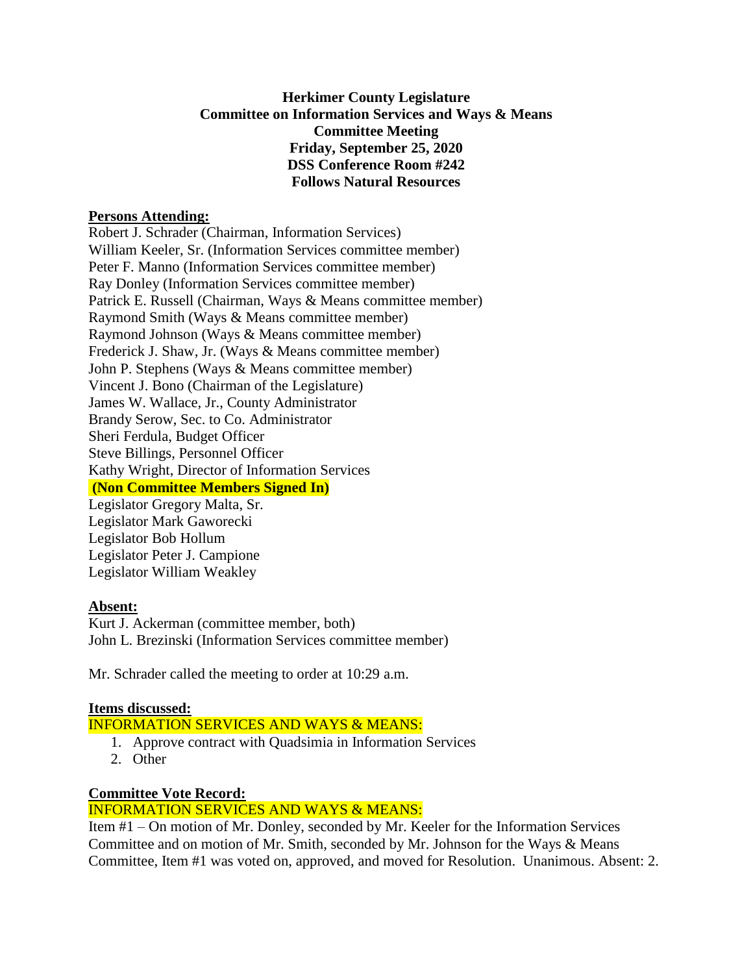# **Herkimer County Legislature Committee on Information Services and Ways & Means Committee Meeting Friday, September 25, 2020 DSS Conference Room #242 Follows Natural Resources**

#### **Persons Attending:**

Robert J. Schrader (Chairman, Information Services) William Keeler, Sr. (Information Services committee member) Peter F. Manno (Information Services committee member) Ray Donley (Information Services committee member) Patrick E. Russell (Chairman, Ways & Means committee member) Raymond Smith (Ways & Means committee member) Raymond Johnson (Ways & Means committee member) Frederick J. Shaw, Jr. (Ways & Means committee member) John P. Stephens (Ways & Means committee member) Vincent J. Bono (Chairman of the Legislature) James W. Wallace, Jr., County Administrator Brandy Serow, Sec. to Co. Administrator Sheri Ferdula, Budget Officer Steve Billings, Personnel Officer Kathy Wright, Director of Information Services **(Non Committee Members Signed In)** Legislator Gregory Malta, Sr. Legislator Mark Gaworecki Legislator Bob Hollum

Legislator Peter J. Campione Legislator William Weakley

# **Absent:**

Kurt J. Ackerman (committee member, both) John L. Brezinski (Information Services committee member)

Mr. Schrader called the meeting to order at 10:29 a.m.

# **Items discussed:**

INFORMATION SERVICES AND WAYS & MEANS:

- 1. Approve contract with Quadsimia in Information Services
- 2. Other

# **Committee Vote Record:**

#### INFORMATION SERVICES AND WAYS & MEANS:

Item #1 – On motion of Mr. Donley, seconded by Mr. Keeler for the Information Services Committee and on motion of Mr. Smith, seconded by Mr. Johnson for the Ways & Means Committee, Item #1 was voted on, approved, and moved for Resolution. Unanimous. Absent: 2.